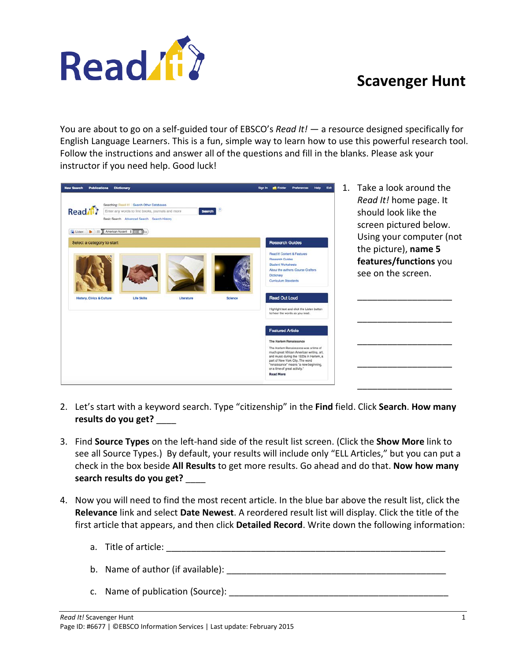

## **Scavenger Hunt**

You are about to go on a self-guided tour of EBSCO's *Read It!* ― a resource designed specifically for English Language Learners. This is a fun, simple way to learn how to use this powerful research tool. Follow the instructions and answer all of the questions and fill in the blanks. Please ask your instructor if you need help. Good luck!

| <b>New Search</b><br><b>Publications Dictionary</b>                                                                                                                                                               | Exit<br><b>Preferences</b><br><b>Help</b><br>Sign in<br><b>E</b> Folder                                                                                                                                                                                       | 1. Take a look around the                                                |
|-------------------------------------------------------------------------------------------------------------------------------------------------------------------------------------------------------------------|---------------------------------------------------------------------------------------------------------------------------------------------------------------------------------------------------------------------------------------------------------------|--------------------------------------------------------------------------|
| Searching: Read It! Search Other Databases<br>Read 11<br>Enter any words to find books, journals and more<br><b>Search</b><br>Basic Search Advanced Search Search History<br>Listen <b>b</b> El American Accent : |                                                                                                                                                                                                                                                               | Read It! home page. It<br>should look like the<br>screen pictured below. |
| Select a category to start                                                                                                                                                                                        | <b>Research Guides</b>                                                                                                                                                                                                                                        | Using your computer (not                                                 |
|                                                                                                                                                                                                                   | Read It! Content & Features<br>Research Guides<br>Student Worksheets<br>About the authors: Course Crafters<br>Dictionary<br>Curriculum Standards                                                                                                              | the picture), name 5<br>features/functions you<br>see on the screen.     |
| <b>History, Civics &amp; Culture</b><br><b>Life Skills</b><br>Science<br>Literature                                                                                                                               | <b>Read Out Loud</b>                                                                                                                                                                                                                                          |                                                                          |
|                                                                                                                                                                                                                   | Highlight text and click the Listen button<br>to hear the words as you read.                                                                                                                                                                                  |                                                                          |
|                                                                                                                                                                                                                   | <b>Featured Article</b>                                                                                                                                                                                                                                       |                                                                          |
|                                                                                                                                                                                                                   | The Harlem Renaissance                                                                                                                                                                                                                                        |                                                                          |
|                                                                                                                                                                                                                   | The Harlem Renaissance was a time of<br>much great African American writing, art.<br>and music during the 1920s in Harlem, a<br>part of New York City. The word<br>"renaissance" means "a new beginning,<br>or a time of great activity."<br><b>Read More</b> |                                                                          |
|                                                                                                                                                                                                                   |                                                                                                                                                                                                                                                               |                                                                          |

- 2. Let's start with a keyword search. Type "citizenship" in the **Find** field. Click **Search**. **How many results do you get?** \_\_\_\_
- 3. Find **Source Types** on the left-hand side of the result list screen. (Click the **Show More** link to see all Source Types.) By default, your results will include only "ELL Articles," but you can put a check in the box beside **All Results** to get more results. Go ahead and do that. **Now how many search results do you get?** \_\_\_\_
- 4. Now you will need to find the most recent article. In the blue bar above the result list, click the **Relevance** link and select **Date Newest**. A reordered result list will display. Click the title of the first article that appears, and then click **Detailed Record**. Write down the following information:
	- a. Title of article: **with a set of a** set of a set of a set of a set of a set of a set of a set of a set of a set of a set of a set of a set of a set of a set of a set of a set of a set of a set of a set of a set of a set
	- b. Name of author (if available):  $\Box$
	- c. Name of publication (Source):  $\blacksquare$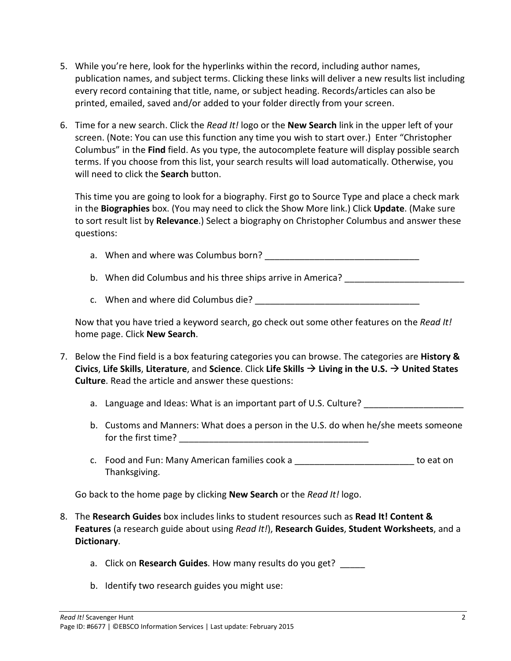- 5. While you're here, look for the hyperlinks within the record, including author names, publication names, and subject terms. Clicking these links will deliver a new results list including every record containing that title, name, or subject heading. Records/articles can also be printed, emailed, saved and/or added to your folder directly from your screen.
- 6. Time for a new search. Click the *Read It!* logo or the **New Search** link in the upper left of your screen. (Note: You can use this function any time you wish to start over.) Enter "Christopher Columbus" in the **Find** field. As you type, the autocomplete feature will display possible search terms. If you choose from this list, your search results will load automatically. Otherwise, you will need to click the **Search** button.

This time you are going to look for a biography. First go to Source Type and place a check mark in the **Biographies** box. (You may need to click the Show More link.) Click **Update**. (Make sure to sort result list by **Relevance**.) Select a biography on Christopher Columbus and answer these questions:

- a. When and where was Columbus born?
- b. When did Columbus and his three ships arrive in America? \_\_\_\_\_\_\_\_\_\_\_\_\_\_\_\_\_\_\_\_
- c. When and where did Columbus die? The contract of the contract of the contract of the contract of the contract of the contract of the contract of the contract of the contract of the contract of the contract of the contra

Now that you have tried a keyword search, go check out some other features on the *Read It!* home page. Click **New Search**.

- 7. Below the Find field is a box featuring categories you can browse. The categories are **History & Civics**, **Life Skills**, **Literature**, and **Science**. Click **Life Skills Living in the U.S. United States Culture**. Read the article and answer these questions:
	- a. Language and Ideas: What is an important part of U.S. Culture?
	- b. Customs and Manners: What does a person in the U.S. do when he/she meets someone for the first time?  $\qquad \qquad \qquad \qquad$
	- c. Food and Fun: Many American families cook a \_\_\_\_\_\_\_\_\_\_\_\_\_\_\_\_\_\_\_\_\_\_\_\_ to eat on Thanksgiving.

Go back to the home page by clicking **New Search** or the *Read It!* logo.

- 8. The **Research Guides** box includes links to student resources such as **Read It! Content & Features** (a research guide about using *Read It!*), **Research Guides**, **Student Worksheets**, and a **Dictionary**.
	- a. Click on **Research Guides**. How many results do you get? \_\_\_\_\_
	- b. Identify two research guides you might use: